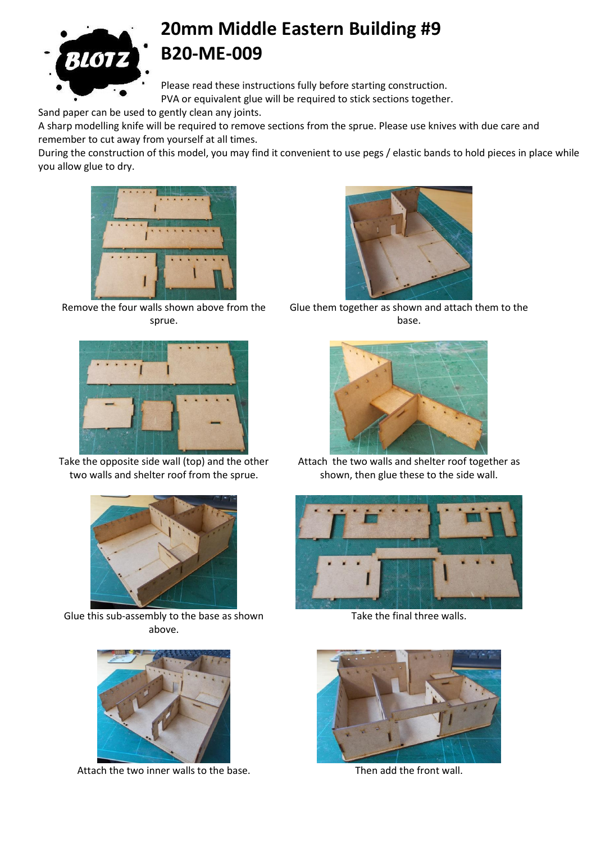

## **20mm Middle Eastern Building #9 B20-ME-009**

Please read these instructions fully before starting construction. PVA or equivalent glue will be required to stick sections together.

Sand paper can be used to gently clean any joints.

A sharp modelling knife will be required to remove sections from the sprue. Please use knives with due care and remember to cut away from yourself at all times.

During the construction of this model, you may find it convenient to use pegs / elastic bands to hold pieces in place while you allow glue to dry.



Remove the four walls shown above from the sprue.



Take the opposite side wall (top) and the other two walls and shelter roof from the sprue.



Glue this sub-assembly to the base as shown above.



Attach the two inner walls to the base. Then add the front wall.



Glue them together as shown and attach them to the base.



Attach the two walls and shelter roof together as shown, then glue these to the side wall.



Take the final three walls.